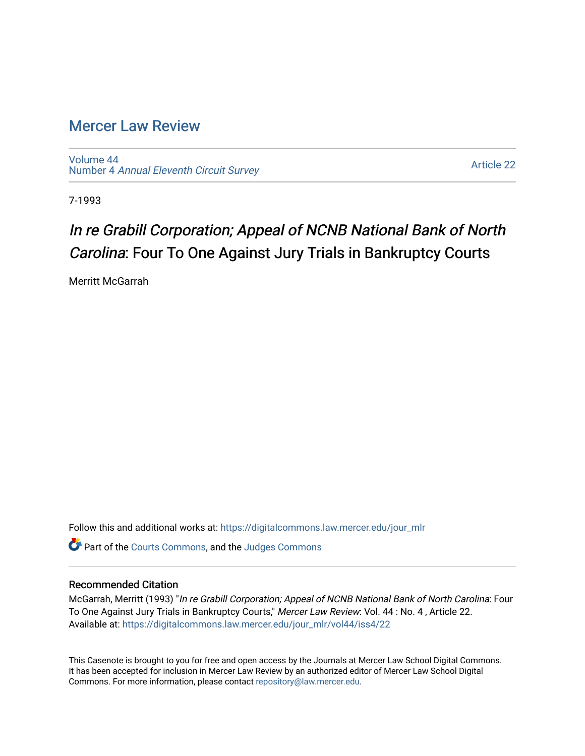## [Mercer Law Review](https://digitalcommons.law.mercer.edu/jour_mlr)

[Volume 44](https://digitalcommons.law.mercer.edu/jour_mlr/vol44) Number 4 [Annual Eleventh Circuit Survey](https://digitalcommons.law.mercer.edu/jour_mlr/vol44/iss4) 

[Article 22](https://digitalcommons.law.mercer.edu/jour_mlr/vol44/iss4/22) 

7-1993

# In re Grabill Corporation; Appeal of NCNB National Bank of North Carolina: Four To One Against Jury Trials in Bankruptcy Courts

Merritt McGarrah

Follow this and additional works at: [https://digitalcommons.law.mercer.edu/jour\\_mlr](https://digitalcommons.law.mercer.edu/jour_mlr?utm_source=digitalcommons.law.mercer.edu%2Fjour_mlr%2Fvol44%2Fiss4%2F22&utm_medium=PDF&utm_campaign=PDFCoverPages)

Part of the [Courts Commons,](http://network.bepress.com/hgg/discipline/839?utm_source=digitalcommons.law.mercer.edu%2Fjour_mlr%2Fvol44%2Fiss4%2F22&utm_medium=PDF&utm_campaign=PDFCoverPages) and the [Judges Commons](http://network.bepress.com/hgg/discipline/849?utm_source=digitalcommons.law.mercer.edu%2Fjour_mlr%2Fvol44%2Fiss4%2F22&utm_medium=PDF&utm_campaign=PDFCoverPages) 

### Recommended Citation

McGarrah, Merritt (1993) "In re Grabill Corporation; Appeal of NCNB National Bank of North Carolina: Four To One Against Jury Trials in Bankruptcy Courts," Mercer Law Review: Vol. 44: No. 4, Article 22. Available at: [https://digitalcommons.law.mercer.edu/jour\\_mlr/vol44/iss4/22](https://digitalcommons.law.mercer.edu/jour_mlr/vol44/iss4/22?utm_source=digitalcommons.law.mercer.edu%2Fjour_mlr%2Fvol44%2Fiss4%2F22&utm_medium=PDF&utm_campaign=PDFCoverPages) 

This Casenote is brought to you for free and open access by the Journals at Mercer Law School Digital Commons. It has been accepted for inclusion in Mercer Law Review by an authorized editor of Mercer Law School Digital Commons. For more information, please contact [repository@law.mercer.edu.](mailto:repository@law.mercer.edu)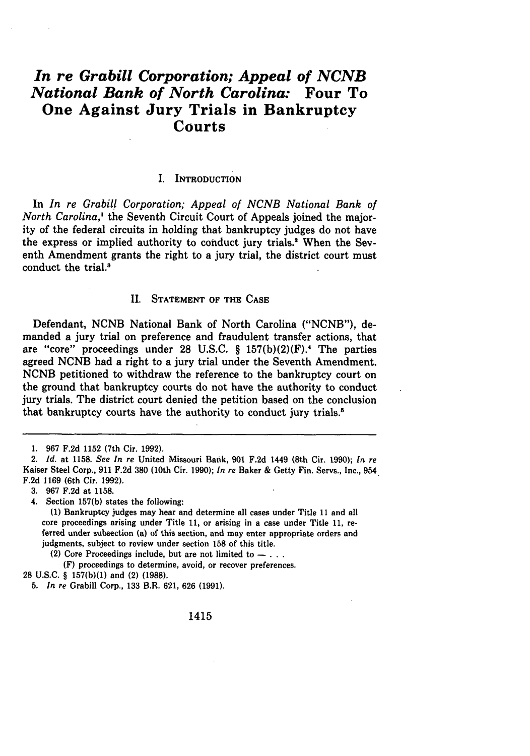## *In re Grabill Corporation; Appeal of NCNB National Bank of North Carolina:* **Four To One Against Jury Trials in Bankruptcy Courts**

#### **I.** INTRODUCTION

In *In re Grabill Corporation; Appeal of NCNB National Bank of North Carolina,'* the Seventh Circuit Court of Appeals joined the majority of the federal circuits in holding that bankruptcy judges do not have the express or implied authority to conduct jury trials.' When the Seventh Amendment grants the right to a jury trial, the district court must conduct the trial.3

#### II. **STATEMENT** OF THE **CASE**

Defendant, **NCNB** National Bank of North Carolina **("NCNB"),** demanded a jury trial on preference and fraudulent transfer actions, that are "core" proceedings under 28 U.S.C. § 157(b)(2)(F).<sup>4</sup> The parties agreed **NCNB** had a right to a jury trial under the Seventh Amendment. **NCNB** petitioned to withdraw the reference to the bankruptcy court on the ground that bankruptcy courts do not have the authority to conduct jury trials. The district court denied the petition based on the conclusion that bankruptcy courts have the authority to conduct **jury** trials.'

(F) proceedings to determine, avoid, or recover preferences.

<sup>1.</sup> **967** F.2d 1152 (7th Cir. **1992).**

*<sup>2.</sup> Id.* at **1158.** *See In re* United Missouri Bank, **901** F.2d 1449 (8th Cir. 1990); In re Kaiser Steel Corp., **911** F.2d **380** (10th Cir. **1990);** *In re* Baker & Getty Fin. Servs., Inc., 954 F.2d 1169 (6th Cir. **1992).**

<sup>3.</sup> **967** F.2d at 1158.

<sup>4.</sup> Section 157(b) states the following:

**<sup>(1)</sup>** Bankruptcy judges may hear and determine all cases under Title 11 and all core proceedings arising under Title 11, or arising in a case under Title 11, referred under subsection (a) of this section, and may enter appropriate orders and judgments, subject to review under section **158** of this title.

<sup>(2)</sup> Core Proceedings include, but are not limited to  $- \ldots$ .

**<sup>28</sup>** U.S.C. § **157(b)(1)** and (2) **(1988).**

<sup>5.</sup> *In re* Grabill Corp., **133** B.R. 621, **626 (1991).**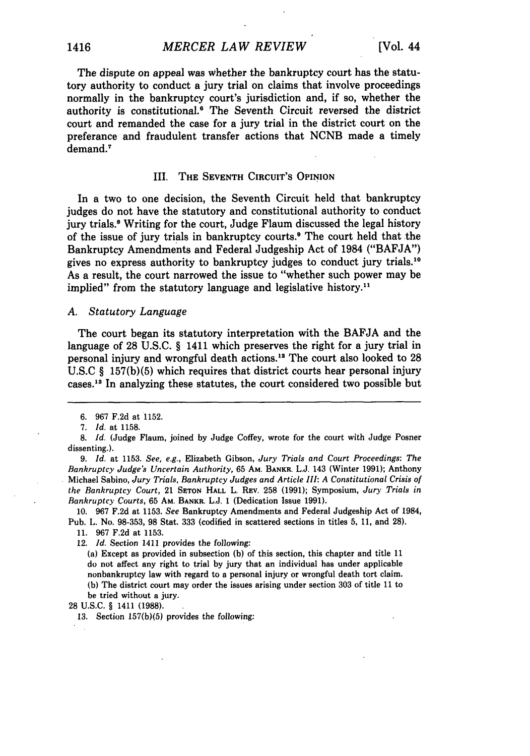The dispute on appeal was whether the bankruptcy court has the statutory authority to conduct a jury trial on claims that involve proceedings normally in the bankruptcy court's jurisdiction and, if so, whether the authority is constitutional.' The Seventh Circuit reversed the district court and remanded the case for a jury trial in the district court on the preferance and fraudulent transfer actions that NCNB made a timely demand.<sup>7</sup>

#### III. THE **SEVENTH CIRCUIT'S** OPINION

In a two to one decision, the Seventh Circuit held that bankruptcy judges do not have the statutory and constitutional authority to conduct jury trials.<sup>8</sup> Writing for the court, Judge Flaum discussed the legal history of the issue of jury trials in bankruptcy courts.9 The court held that the Bankruptcy Amendments and Federal Judgeship Act of 1984 **("BAFJA")** gives no express authority to bankruptcy judges to conduct jury trials.<sup>10</sup> As a result, the court narrowed the issue to "whether such power may be implied" from the statutory language and legislative history.<sup>11</sup>

#### *A. Statutory Language*

The court began its statutory interpretation with the **BAFJA** and the language of **28 U.S.C. §** 1411 which preserves the right for a jury trial in personal injury and wrongful death actions."2 The court also looked to **<sup>28</sup> U.S.C § 157(b)(5)** which requires that district courts hear personal injury cases."8 In analyzing these statutes, the court considered two possible but

*9. Id.* at 1153. *See,* e.g., Elizabeth Gibson, *Jury Trials and Court Proceedings: The Bankruptcy Judge's Uncertain Authority,* 65 AM. **BANKR.** L.J. 143 (Winter 1991); Anthony Michael Sabino, *Jury Trials, Bankruptcy Judges and Article III: A Constitutional Crisis of the Bankruptcy Court,* 21 **SETON HALL** L. REv. 258 (1991); Symposium, *Jury Trials in Bankruptcy Courts,* 65 **AM. BANKR.** L.J. 1 (Dedication Issue 1991).

10. 967 F.2d at 1153. *See* Bankruptcy Amendments and Federal Judgeship Act of 1984, Pub. L. No. 98-353, 98 Stat. **333** (codified in scattered sections in titles 5, **11,** and 28).

11. 967 F.2d at 1153.

12. *Id.* Section 1411 provides the following:

(a) Except as provided in subsection **(b)** of this section, this chapter and title 11 do not affect any right to trial by jury that an individual has under applicable nonbankruptcy law with regard to a personal injury or wrongful death tort claim. **(b)** The district court may order the issues arising under section 303 of title 11 to

be tried without a jury.

28 U.S.C. § 1411 (1988).

**13.** Section 157(b)(5) provides the following:

<sup>6. 967</sup> F.2d at 1152.

<sup>7.</sup> *Id.* at 1158.

**<sup>8.</sup>** *Id.* (Judge Flaum, joined by Judge Coffey, wrote for the court with Judge Posner dissenting.).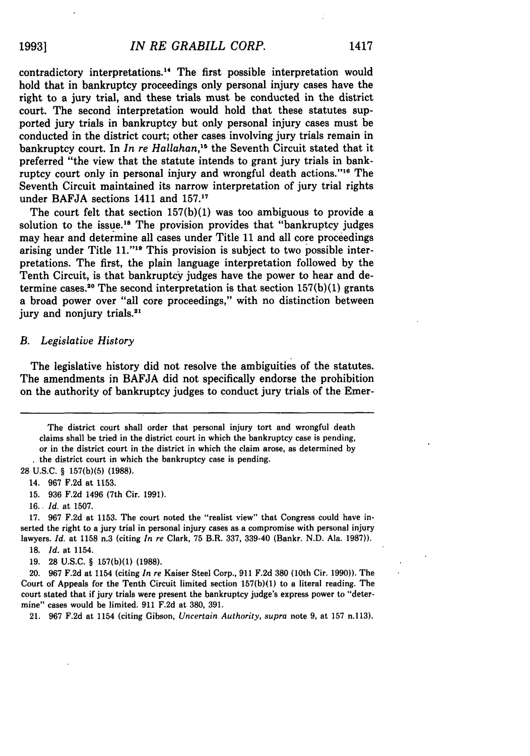contradictory interpretations." The first possible interpretation would hold that in bankruptcy proceedings only personal injury cases have the right to a jury trial, and these trials must be conducted in the district court. The second interpretation would hold that these statutes supported jury trials in bankruptcy but only personal injury cases must be conducted in the district court; other cases involving jury trials remain in bankruptcy court. In *In re Hallahan,"* the Seventh Circuit stated that it preferred "the view that the statute intends to grant jury trials in bankruptcy court only in personal injury and wrongful death actions."<sup>16</sup> The Seventh Circuit maintained its narrow interpretation of jury trial rights under BAFJA sections 1411 and 157.'

The court felt that section  $157(b)(1)$  was too ambiguous to provide a solution to the issue.<sup>18</sup> The provision provides that "bankruptcy judges" may hear and determine all cases under Title 11 and all core proceedings arising under Title 11."<sup>19</sup> This provision is subject to two possible interpretations. The first, the plain language interpretation followed by the Tenth Circuit, is that bankruptcy judges have the power to hear and determine cases.<sup>20</sup> The second interpretation is that section  $157(b)(1)$  grants a broad power over "all core proceedings," with no distinction between jury and nonjury trials.<sup>21</sup>

#### *B. Legislative History*

The legislative history did not resolve the ambiguities of the statutes. The amendments in BAFJA did not specifically endorse the prohibition on the authority of bankruptcy judges to conduct jury trials of the Emer-

The district court shall order that personal injury tort and wrongful death claims shall be tried in the district court in which the bankruptcy case is pending, or in the district court in the district in which the claim arose, as determined by the district court in which the bankruptcy case is pending.

**28 U.S.C.** § 157(b)(5) **(1988).**

14. **967 F.2d** at **1153.**

**15. 936 F.2d** 1496 (7th Cir. **1991).**

**16.** *Id.* at **1507.**

**17. 967 F.2d** at **1153.** The court noted the "realist **view"** that Congress could have inserted the right to a jury trial in personal injury cases as a compromise with personal injury lawyers. *Id.* at **1158** n.3 (citing *In re* Clark, **75** B.R. **337,** 339-40 (Bankr. **N.D.** Ala. **1987)).**

**18.** *Id.* at 1154.

19. 28 U.S.C. § 157(b)(1) (1988).

20. 967 F.2d at 1154 (citing *In re* Kaiser Steel Corp., 911 F.2d 380 (10th Cir. 1990)). The Court of Appeals for the Tenth Circuit limited section **157(b)(1)** to a literal reading. The court stated that if jury trials were present the bankruptcy judge's express power to "determine" cases would be limited. 911 F.2d at 380, 391.

21. 967 F.2d at 1154 (citing Gibson, *Uncertain Authority, supra* note 9, at 157 n.113).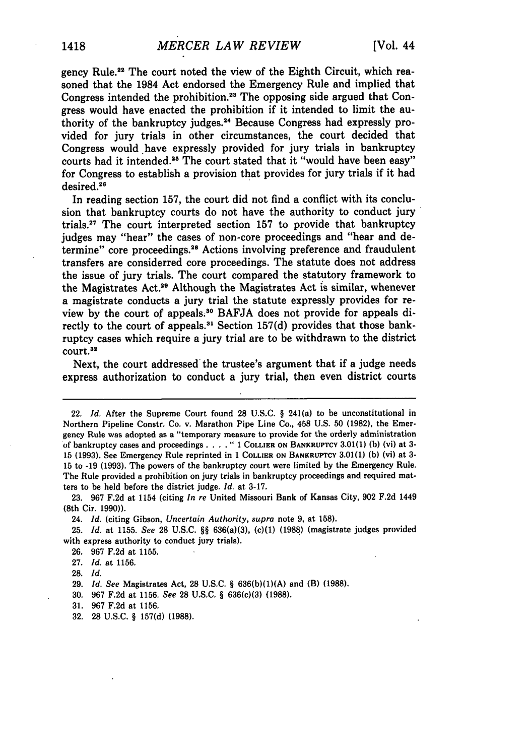gency Rule.<sup>22</sup> The court noted the view of the Eighth Circuit, which reasoned that the 1984 Act endorsed the Emergency Rule and implied that Congress intended the prohibition.<sup>23</sup> The opposing side argued that Congress would have enacted the prohibition if it intended to limit the authority of the bankruptcy judges.<sup>24</sup> Because Congress had expressly provided for jury trials in other circumstances, the court decided that Congress would have expressly provided for jury trials in bankruptcy courts had it intended.2s The court stated that it "would have been easy" for Congress to establish a provision that provides for jury trials if it had desired.

In reading section **157,** the court did not find a conflict with its conclusion that bankruptcy courts do not have the authority to conduct jury trials.<sup>27</sup> The court interpreted section 157 to provide that bankruptcy judges may "hear" the cases of non-core proceedings and "hear and determine" core proceedings. 28 Actions involving preference and fraudulent transfers are considerred core proceedings. The statute does not address the issue of jury trials. The court compared the statutory framework to the Magistrates Act.29 Although the Magistrates Act is similar, whenever a magistrate conducts a jury trial the statute expressly provides for review by the court of appeals.<sup>30</sup> BAFJA does not provide for appeals directly to the court of appeals.'" Section **157(d)** provides that those bankruptcy cases which require a jury trial are to be withdrawn to the district court.<sup>32</sup>

Next, the court addressed the trustee's argument that if a judge needs express authorization to conduct a jury trial, then even district courts

24. *Id.* (citing Gibson, *Uncertain Authority, supra* note **9,** at 158).

25. *Id.* at 1155. *See* 28 U.S.C. §§ 636(a)(3), (c)(1) (1988) (magistrate judges provided with express authority to conduct jury trials).

26. 967 F.2d at 1155.

27. *Id.* at 1156.

**28.** *Id.*

31. 967 F.2d at 1156.

<sup>22.</sup> *Id.* After the Supreme Court found **28** U.S.C. § 241(a) to be unconstitutional in Northern Pipeline Constr. Co. v. Marathon Pipe Line Co., 458 U.S. 50 **(1982),** the Emergency Rule was adopted as a "temporary measure to provide for the orderly administration of bankruptcy cases and proceedings **.... "** 1 COLLIER **ON** BANKRUPTCY 3.01(1) **(b)** (vi) at **3-** 15 (1993). See Emergency Rule reprinted in 1 COLLIER **ON** BANKRUPTCY **3.01(1) (b)** (vi) at 3- 15 to **-19** (1993). The powers of the bankruptcy court were limited **by** the Emergency Rule. The Rule provided a prohibition on jury trials in bankruptcy proceedings and required matters to be held before the district judge. *Id.* at 3-17.

<sup>23. 967</sup> F.2d at 1154 (citing *In re* United Missouri Bank of Kansas City, 902 F.2d 1449 (8th Cir. 1990)).

<sup>29.</sup> **Id.** *See* Magistrates Act, **28** U.S.C. § 636(b)(1)(A) and (B) **(1988).**

<sup>30. 967</sup> F.2d at 1156. See 28 U.S.C. § 636(c)(3) (1988).

<sup>32. 28</sup> U.S.C. § 157(d) (1988).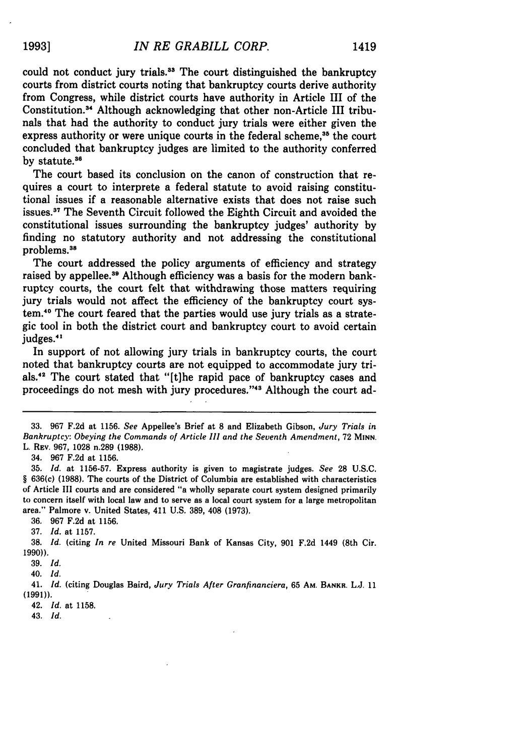could not conduct jury trials.3" The court distinguished the bankruptcy courts from district courts noting that bankruptcy courts derive authority from Congress, while district courts have authority in Article III of the Constitution. 4 Although acknowledging that other non-Article III tribunals that had the authority to conduct jury trials were either given the express authority or were unique courts in the federal scheme,<sup>35</sup> the court concluded that bankruptcy judges are limited to the authority conferred by statute.<sup>36</sup>

The court based its conclusion on the canon of construction that requires a court to interprete a federal statute to avoid raising constitutional issues if a reasonable alternative exists that does not raise such issues.<sup>37</sup> The Seventh Circuit followed the Eighth Circuit and avoided the constitutional issues surrounding the bankruptcy judges' authority **by** finding no statutory authority and not addressing the constitutional problems.<sup>38</sup>

The court addressed the policy arguments of efficiency and strategy raised by appellee.<sup>39</sup> Although efficiency was a basis for the modern bankruptcy courts, the court felt that withdrawing those matters requiring jury trials would not affect the efficiency of the bankruptcy court system.'0 The court feared that the parties would use jury trials as a strategic tool in both the district court and bankruptcy court to avoid certain judges.<sup>41</sup>

In support of not allowing jury trials in bankruptcy courts, the court noted that bankruptcy courts are not equipped to accommodate jury trials.<sup>42</sup> The court stated that "[t]he rapid pace of bankruptcy cases and proceedings do not mesh with jury procedures. '43 Although the court ad-

34. 967 F.2d at 1156.

35. *Id.* at 1156-57. Express authority is given to magistrate judges. *See* 28 U.S.C. § 636(c) **(1988).** The courts of the District of Columbia are established with characteristics of Article **III** courts and are considered "a wholly separate court system designed primarily to concern itself with local law and to serve as a local court system for a large metropolitan area." Palmore v. United States, 411 **U.S.** 389, 408 (1973).

**36.** 967 F.2d at 1156.

**37.** *Id.* at 1157.

38. *Id.* (citing *In re* United Missouri Bank of Kansas City, 901 F.2d 1449 (8th Cir. **1990)).**

**39. Id,**

40. *Id.*

41. *Id.* (citing Douglas Baird, *Jury Trials After Granfinanciera,* 65 **AM.** BANKR. **L.J.** 11 **(1991)).**

42. *Id.* at 1158.

43. **Id,**

**<sup>33.</sup>** 967 F.2d at 1156. *See* Appellee's Brief at 8 and Elizabeth Gibson, *Jury Trials in Bankruptcy: Obeying the Commands of Article III and the Seventh Amendment,* 72 **MINN,** L. REV. 967, 1028 n.289 **(1988).**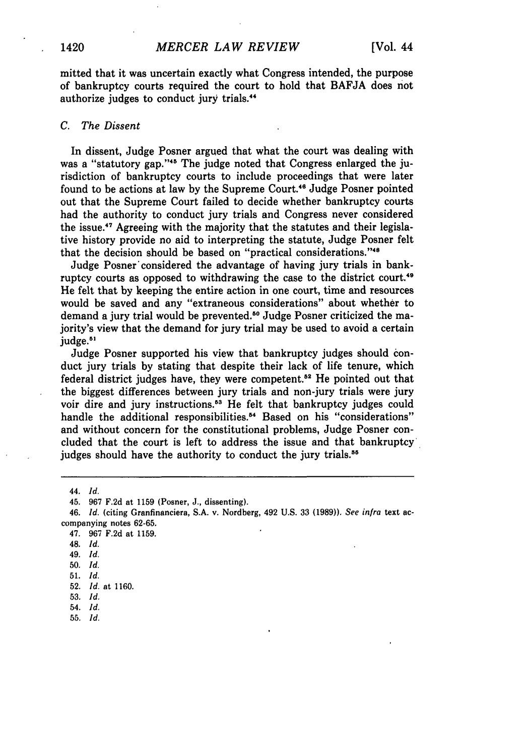mitted that it was uncertain exactly what Congress intended, the purpose of bankruptcy courts required the court to hold that **BAFJA** does not authorize judges to conduct jury trials. <sup>4</sup>

#### *C. The Dissent*

In dissent, Judge Posner argued that what the court was dealing with was a "statutory gap."<sup>45</sup> The judge noted that Congress enlarged the jurisdiction of bankruptcy courts to include proceedings that were later found to be actions at law by the Supreme Court.<sup>46</sup> Judge Posner pointed out that the Supreme Court failed to decide whether bankruptcy courts had the authority to conduct jury trials and Congress never considered the issue.<sup>47</sup> Agreeing with the majority that the statutes and their legislative history provide no aid to interpreting the statute, Judge Posner felt that the decision should be based on "practical considerations."<sup>48</sup>

Judge Posner'considered the advantage of having jury trials in bankruptcy courts as opposed to withdrawing the case to the district court. **"** He felt that by keeping the entire action in one court, time and resources would be saved and any "extraneous considerations" about whether to demand a jury trial would be prevented.<sup>50</sup> Judge Posner criticized the majority's view that the demand for jury trial may be used to avoid a certain judge.<sup>51</sup>

Judge Posner supported his view that bankruptcy judges should conduct jury trials by stating that despite their lack of life tenure, which federal district judges have, they were competent.52 He pointed out that the biggest differences between jury trials and non-jury trials were jury voir dire and jury instructions.<sup>53</sup> He felt that bankruptcy judges could handle the additional responsibilities.<sup>54</sup> Based on his "considerations" and without concern for the constitutional problems, Judge Posner concluded that the court is left to address the issue and that bankruptcy judges should have the authority to conduct the jury trials.<sup>55</sup>

49. *Id.*

**51.** *Id.*

<sup>44.</sup> *Id.*

<sup>45. 967</sup> F.2d at 1159 (Posner, **J.,** dissenting).

<sup>46.</sup> *Id.* (citing Granfinanciera, **S.A.** v. Nordberg, 492 **U.S. 33** (1989)). *See infra* text accompanying notes 62-65.

<sup>47. 967</sup> F.2d at 1159.

<sup>48.</sup> *Id.*

<sup>50.</sup> *Id.*

<sup>52.</sup> *Id.* at 1160.

**<sup>53.</sup>** *Id.*

*<sup>54.</sup> Id.*

**<sup>55.</sup>** *Id.*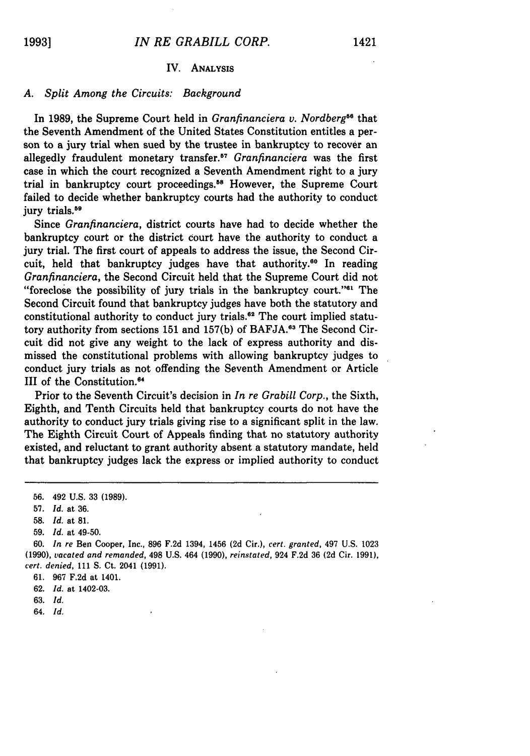#### IV. ANALYSIS

#### *A. Split Among the Circuits: Background*

In 1989, the Supreme Court held in *Granfinanciera v. Nordberg*<sup>66</sup> that the Seventh Amendment of the United States Constitution entitles a person to a jury trial when sued by the trustee in bankruptcy to recover an allegedly fraudulent monetary transfer.<sup>57</sup> Granfinanciera was the first case in which the court recognized a Seventh Amendment right to a jury trial in bankruptcy court proceedings.<sup>58</sup> However, the Supreme Court failed to decide whether bankruptcy courts had the authority to conduct jury trials.<sup>59</sup>

Since *Granfinanciera,* district courts have had to decide whether the bankruptcy court or the district court have the authority to conduct a jury trial. The first court of appeals to address the issue, the Second Circuit, held that bankruptcy judges have that authority.<sup>60</sup> In reading *Granfinanciera,* the Second Circuit held that the Supreme Court did not "foreclose the possibility of jury trials in the bankruptcy court." $a<sup>1</sup>$  The Second Circuit found that bankruptcy judges have both the statutory and constitutional authority to conduct jury trials.<sup>62</sup> The court implied statutory authority from sections 151 and 157(b) of BAFJA.<sup>63</sup> The Second Circuit did not give any weight to the lack of express authority and dismissed the constitutional problems with allowing bankruptcy judges to conduct jury trials as not offending the Seventh Amendment or Article III of the Constitution.<sup>64</sup>

Prior to the Seventh Circuit's decision in *In re Grabill Corp.,* the Sixth, Eighth, and Tenth Circuits held that bankruptcy courts do not have the authority to conduct jury trials giving rise to a significant split in the law. The Eighth Circuit Court of Appeals finding that no statutory authority existed, and reluctant to grant authority absent a statutory mandate, held that bankruptcy judges lack the express or implied authority to conduct

- 63. *Id.*
- 64. *Id.*

<sup>56. 492</sup> U.S. 33 (1989).

<sup>57.</sup> *Id.* at 36.

<sup>58.</sup> *Id.* at 81.

<sup>59.</sup> *Id.* at 49-50.

<sup>60.</sup> *In re* Ben Cooper, Inc., 896 F.2d 1394, 1456 **(2d** Cir.), *cert. granted,* 497 U.S. 1023 (1990), *vacated and remanded,* 498 U.S. 464 (1990), *reinstated,* 924 F.2d 36 **(2d** Cir. 1991), *cert. denied,* 111 **S.** Ct. 2041 (1991).

<sup>61. 967</sup> F.2d at 1401.

<sup>62.</sup> *Id.* at 1402-03.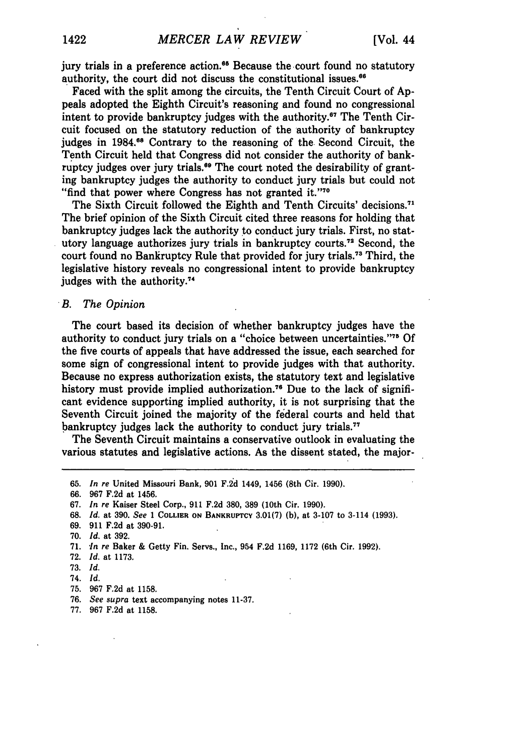jury trials in a preference action.<sup>65</sup> Because the court found no statutory authority, the court did not discuss the constitutional issues. <sup>6</sup>

Faced with the split among the circuits, the Tenth Circuit Court of Appeals adopted the Eighth Circuit's reasoning and found no congressional intent to provide bankruptcy judges with the authority.<sup>67</sup> The Tenth Circuit focused on the statutory reduction of the authority of bankruptcy judges in 1984.68 Contrary to the reasoning of the Second Circuit, the Tenth Circuit held that Congress did not consider the authority of bankruptcy judges over jury trials.<sup>69</sup> The court noted the desirability of granting bankruptcy judges the authority to conduct jury trials but could not "find that power where Congress has not granted it."<sup>70</sup>

The Sixth Circuit followed the Eighth and Tenth Circuits' decisions.<sup>71</sup> The brief opinion of the Sixth Circuit cited three reasons for holding that bankruptcy judges lack the authority **to** conduct jury trials. First, no statutory language authorizes jury trials in bankruptcy courts.72 Second, the court found no Bankruptcy Rule that provided for jury trials." Third, the legislative history reveals no congressional intent to provide bankruptcy judges with the authority.<sup>74</sup>

#### *B. The Opinion*

The court based its decision of whether bankruptcy judges have the authority to conduct jury trials on a "choice between uncertainties."<sup>75</sup> Of the five courts of appeals that have addressed the issue, each searched for some sign of congressional intent to provide judges with that authority. Because no express authorization exists, the statutory text and legislative history must provide implied authorization.<sup>76</sup> Due to the lack of significant evidence supporting implied authority, it is not surprising that the Seventh Circuit joined the majority of the federal courts and held that bankruptcy judges lack the authority to conduct jury trials.<sup>77</sup>

The Seventh Circuit maintains a conservative outlook in evaluating the various statutes and legislative actions. As the dissent stated, the major-

<sup>65.</sup> *In re* United Missouri Bank, 901 F.2d 1449, 1456 (8th Cir. 1990).

<sup>66. 967</sup> F.2d at 1456.

<sup>67.</sup> *In re* Kaiser Steel Corp., 911 F.2d 380, **389** (10th Cir. 1990).

<sup>68.</sup> *Id.* at 390. *See* 1 COLLIER **ON** BANKRUPTCY 3.01(7) (b), at 3-107 to 3-114 (1993).

<sup>69. 911</sup> F.2d at 390-91.

<sup>70.</sup> *Id.* at 392.

<sup>71.</sup> *In re* Baker & Getty Fin. Servs., Inc., 954 F.2d 1169, 1172 (6th Cir. 1992).

<sup>72.</sup> *Id.* at 1173.

<sup>73.</sup> *Id.*

<sup>74.</sup> *Id.*

<sup>75. 967</sup> F.2d at 1158.

<sup>76.</sup> *See supra* text accompanying notes 11-37.

<sup>77. 967</sup> F.2d at **1158.**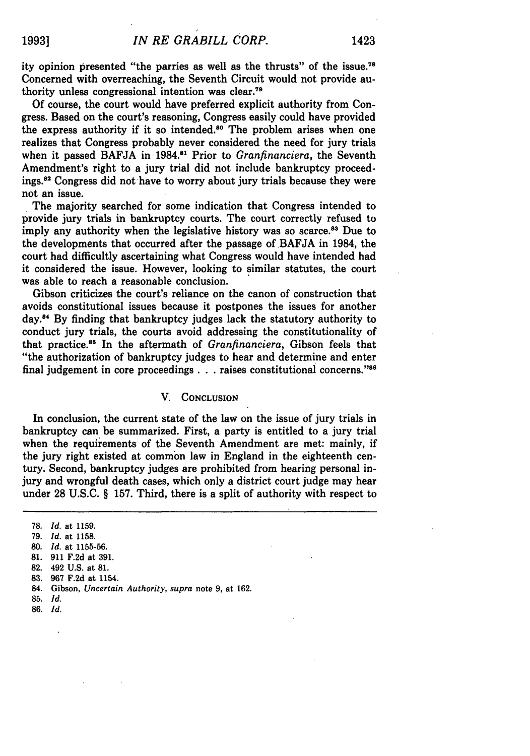ity opinion presented "the parries as well as the thrusts" of the issue.<sup>78</sup> Concerned with overreaching, the Seventh Circuit would not provide authority unless congressional intention was clear.<sup>79</sup>

Of course, the court would have preferred explicit authority from Congress. Based on the court's reasoning, Congress easily could have provided the express authority if it so intended.<sup>80</sup> The problem arises when one realizes that Congress probably never considered the need for jury trials when it passed BAFJA in 1984.<sup>81</sup> Prior to *Granfinanciera*, the Seventh Amendment's right to a jury trial did not include bankruptcy proceedings.<sup>82</sup> Congress did not have to worry about jury trials because they were not an issue.

The majority searched for some indication that Congress intended to provide jury trials in bankruptcy courts. The court correctly refused to imply any authority when the legislative history was so scarce.<sup>83</sup> Due to the developments that occurred after the passage of BAFJA in 1984, the court had difficultly ascertaining what Congress would have intended had it considered the issue. However, looking to similar statutes, the court was able to reach a reasonable conclusion.

Gibson criticizes the court's reliance on the canon of construction that avoids constitutional issues because it postpones the issues for another day."4 By finding that bankruptcy judges lack the statutory authority to conduct jury trials, the courts avoid addressing the constitutionality of that practice.<sup>85</sup> In the aftermath of *Granfinanciera*, Gibson feels that "the authorization of bankruptcy judges to hear and determine and enter final judgement in core proceedings **. . .** raises constitutional concerns." <sup>6</sup>

#### V. **CONCLUSION**

In conclusion, the current state of the law on the issue of jury trials in bankruptcy can be summarized. First, a party is entitled to a jury trial when the requirements of the Seventh Amendment are met: mainly, if the jury right existed at common law in England in the eighteenth century. Second, bankruptcy judges are prohibited from hearing personal injury and wrongful death cases, which only a district court judge may hear under **28 U.S.C.** § **157.** Third, there is a split of authority with respect to

**78.** *Id.* at **1159.**

- **79.** *Id.* at **1158.**
- 80. *Id.* at 1155-56.
- **81.** 911 F.2d at 391.
- 82. 492 **U.S.** at 81.
- **83.** 967 F.2d at 1154.
- 84. Gibson, *Uncertain Authority, supra* note 9, at 162.
- **85.** *Id.*
- 86. *Id.*